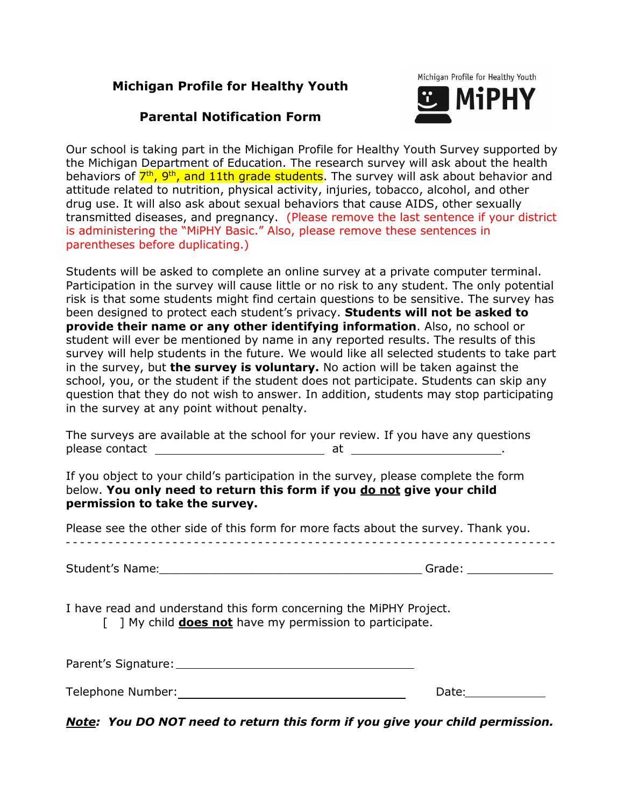# **Michigan Profile for Healthy Youth**

# **Parental Notification Form**



Our school is taking part in the Michigan Profile for Healthy Youth Survey supported by the Michigan Department of Education. The research survey will ask about the health behaviors of  $7<sup>th</sup>$ , 9<sup>th</sup>, and 11th grade students. The survey will ask about behavior and attitude related to nutrition, physical activity, injuries, tobacco, alcohol, and other drug use. It will also ask about sexual behaviors that cause AIDS, other sexually transmitted diseases, and pregnancy. (Please remove the last sentence if your district is administering the "MiPHY Basic." Also, please remove these sentences in parentheses before duplicating.)

Students will be asked to complete an online survey at a private computer terminal. Participation in the survey will cause little or no risk to any student. The only potential risk is that some students might find certain questions to be sensitive. The survey has been designed to protect each student's privacy. **Students will not be asked to provide their name or any other identifying information**. Also, no school or student will ever be mentioned by name in any reported results. The results of this survey will help students in the future. We would like all selected students to take part in the survey, but **the survey is voluntary.** No action will be taken against the school, you, or the student if the student does not participate. Students can skip any question that they do not wish to answer. In addition, students may stop participating in the survey at any point without penalty.

The surveys are available at the school for your review. If you have any questions please contact at . The set of the set of the set of the set of the set of the set of the set of the set of th

If you object to your child's participation in the survey, please complete the form below. **You only need to return this form if you do not give your child permission to take the survey.**

Please see the other side of this form for more facts about the survey. Thank you.

| Student's Name: | $\sim$ |  |
|-----------------|--------|--|
|                 |        |  |

I have read and understand this form concerning the MiPHY Project.

[ ] My child **does not** have my permission to participate.

| Parent's Signature: |  |
|---------------------|--|
|                     |  |
|                     |  |

| Telephone Number: |  |
|-------------------|--|
|                   |  |

*Note: You DO NOT need to return this form if you give your child permission.*